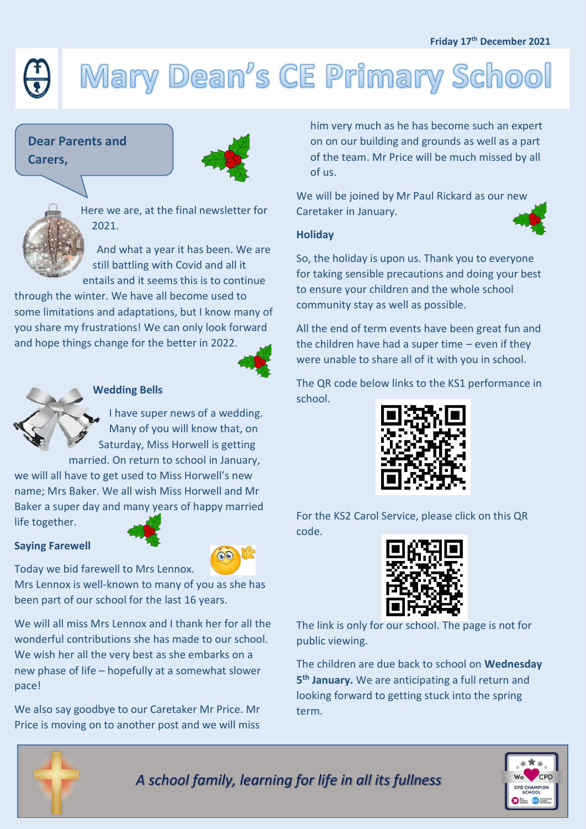#### **Friday 17th December 2021**

# Mary Dean's CE Primary School

# **Dear Parents and Carers,**



Here we are, at the final newsletter for 2021.

And what a year it has been. We are still battling with Covid and all it entails and it seems this is to continue

through the winter. We have all become used to some limitations and adaptations, but I know many of you share my frustrations! We can only look forward and hope things change for the better in 2022.





### **Wedding Bells**

I have super news of a wedding. Many of you will know that, on Saturday, Miss Horwell is getting married. On return to school in January,

we will all have to get used to Miss Horwell's new name; Mrs Baker. We all wish Miss Horwell and Mr Baker a super day and many years of happy married life together.

#### **Saying Farewell**





Mrs Lennox is well-known to many of you as she has been part of our school for the last 16 years.

Today we bid farewell to Mrs Lennox.

We will all miss Mrs Lennox and I thank her for all the wonderful contributions she has made to our school. We wish her all the very best as she embarks on a new phase of life – hopefully at a somewhat slower pace!

We also say goodbye to our Caretaker Mr Price. Mr Price is moving on to another post and we will miss

him very much as he has become such an expert on on our building and grounds as well as a part of the team. Mr Price will be much missed by all of us.

We will be joined by Mr Paul Rickard as our new Caretaker in January.

### **Holiday**

So, the holiday is upon us. Thank you to everyone for taking sensible precautions and doing your best to ensure your children and the whole school community stay as well as possible.

All the end of term events have been great fun and the children have had a super time – even if they were unable to share all of it with you in school.

The QR code below links to the KS1 performance in school.



For the KS2 Carol Service, please click on this QR code.



The link is only for our school. The page is not for public viewing.

The children are due back to school on **Wednesday 5 th January.** We are anticipating a full return and looking forward to getting stuck into the spring term.



*A school family, learning for life in all its fullness*